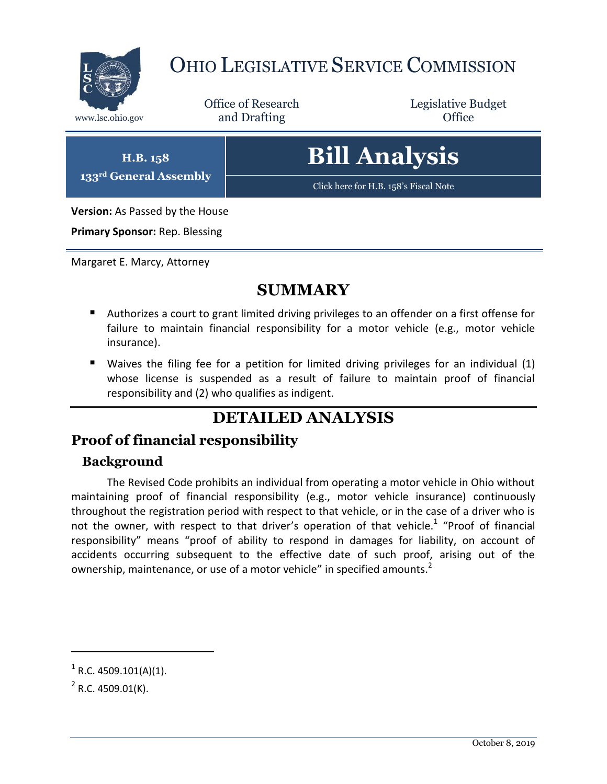

## OHIO LEGISLATIVE SERVICE COMMISSION

Office of Research www.lsc.ohio.gov and Drafting Control of Control of the Control of Control of the Control of Control of the Control of the Control of the Control of the Control of the Control of the Control of the Control of the Control o

Legislative Budget

**H.B. 158 133rd General Assembly**

# **Bill Analysis**

[Click here for H.B. 158's Fiscal Note](https://www.legislature.ohio.gov/legislation/legislation-documents?id=GA133-HB-158)

**Version:** As Passed by the House

**Primary Sponsor:** Rep. Blessing

Margaret E. Marcy, Attorney

### **SUMMARY**

- Authorizes a court to grant limited driving privileges to an offender on a first offense for failure to maintain financial responsibility for a motor vehicle (e.g., motor vehicle insurance).
- Waives the filing fee for a petition for limited driving privileges for an individual (1) whose license is suspended as a result of failure to maintain proof of financial responsibility and (2) who qualifies as indigent.

### **DETAILED ANALYSIS**

#### **Proof of financial responsibility**

#### **Background**

The Revised Code prohibits an individual from operating a motor vehicle in Ohio without maintaining proof of financial responsibility (e.g., motor vehicle insurance) continuously throughout the registration period with respect to that vehicle, or in the case of a driver who is not the owner, with respect to that driver's operation of that vehicle.<sup>1</sup> "Proof of financial responsibility" means "proof of ability to respond in damages for liability, on account of accidents occurring subsequent to the effective date of such proof, arising out of the ownership, maintenance, or use of a motor vehicle" in specified amounts.<sup>2</sup>

 $\overline{a}$ 

 $1^1$  R.C. 4509.101(A)(1).

 $2^2$  R.C. 4509.01(K).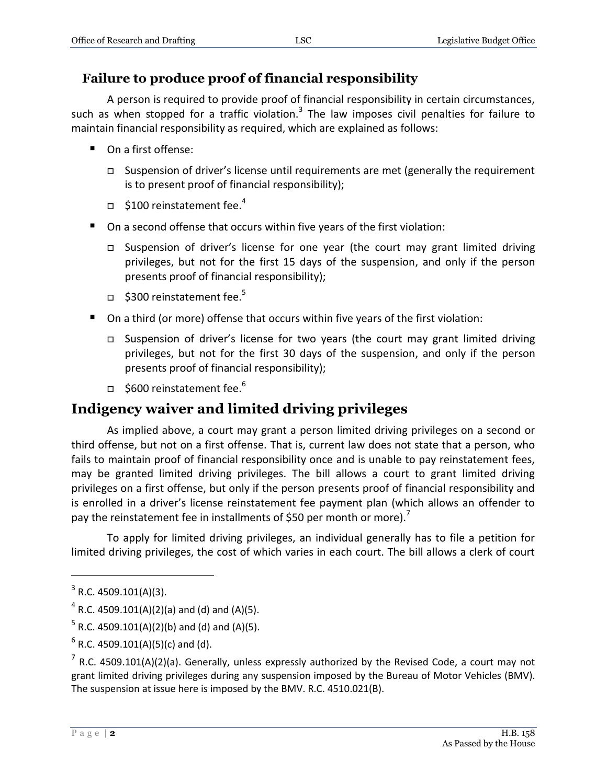#### **Failure to produce proof of financial responsibility**

A person is required to provide proof of financial responsibility in certain circumstances, such as when stopped for a traffic violation.<sup>3</sup> The law imposes civil penalties for failure to maintain financial responsibility as required, which are explained as follows:

- On a first offense:
	- $\Box$  Suspension of driver's license until requirements are met (generally the requirement is to present proof of financial responsibility);
	- $\Box$  \$100 reinstatement fee.<sup>4</sup>
- On a second offense that occurs within five years of the first violation:
	- Suspension of driver's license for one year (the court may grant limited driving privileges, but not for the first 15 days of the suspension, and only if the person presents proof of financial responsibility);
	- $\Box$  \$300 reinstatement fee.<sup>5</sup>
- On a third (or more) offense that occurs within five years of the first violation:
	- Suspension of driver's license for two years (the court may grant limited driving privileges, but not for the first 30 days of the suspension, and only if the person presents proof of financial responsibility);
	- $\Box$  \$600 reinstatement fee.<sup>6</sup>

#### **Indigency waiver and limited driving privileges**

As implied above, a court may grant a person limited driving privileges on a second or third offense, but not on a first offense. That is, current law does not state that a person, who fails to maintain proof of financial responsibility once and is unable to pay reinstatement fees, may be granted limited driving privileges. The bill allows a court to grant limited driving privileges on a first offense, but only if the person presents proof of financial responsibility and is enrolled in a driver's license reinstatement fee payment plan (which allows an offender to pay the reinstatement fee in installments of \$50 per month or more).<sup>7</sup>

To apply for limited driving privileges, an individual generally has to file a petition for limited driving privileges, the cost of which varies in each court. The bill allows a clerk of court

 $\overline{a}$ 

 $3$  R.C. 4509.101(A)(3).

 $^4$  R.C. 4509.101(A)(2)(a) and (d) and (A)(5).

 $^5$  R.C. 4509.101(A)(2)(b) and (d) and (A)(5).

 $^6$  R.C. 4509.101(A)(5)(c) and (d).

 $^7$  R.C. 4509.101(A)(2)(a). Generally, unless expressly authorized by the Revised Code, a court may not grant limited driving privileges during any suspension imposed by the Bureau of Motor Vehicles (BMV). The suspension at issue here is imposed by the BMV. R.C. 4510.021(B).